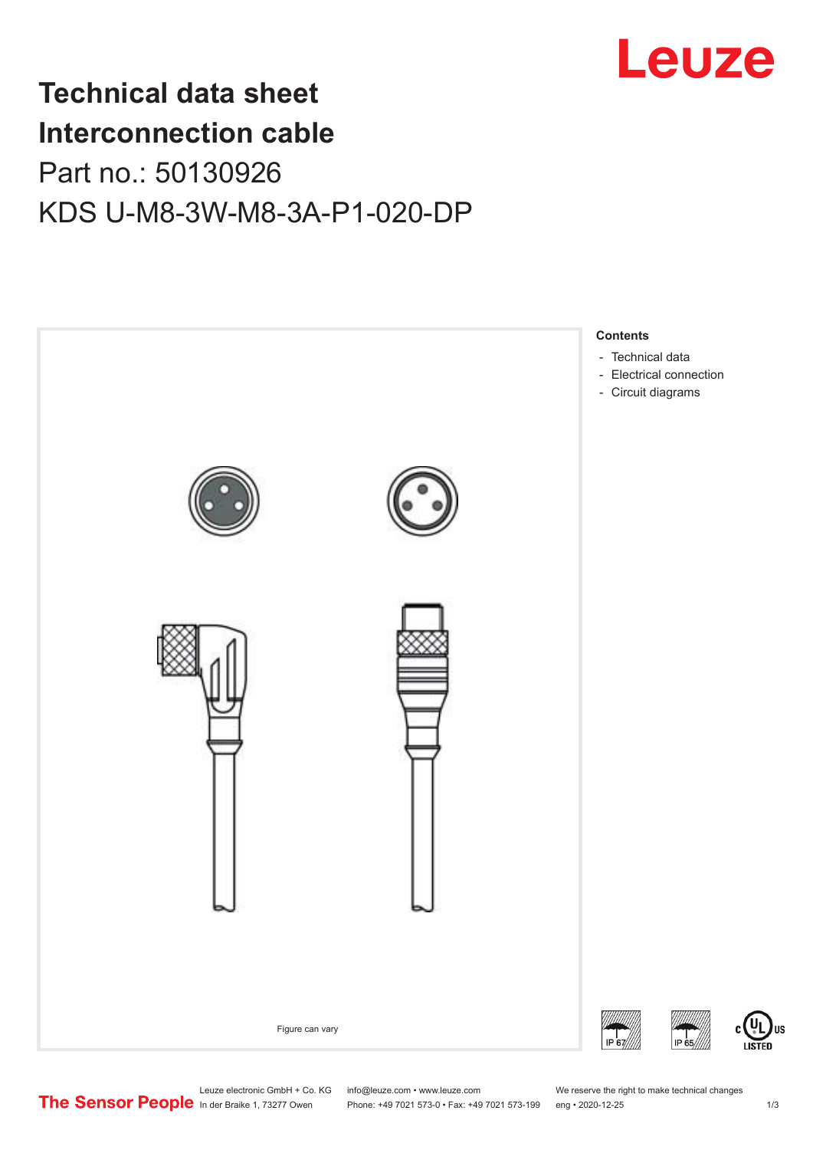

## **Technical data sheet Interconnection cable** Part no.: 50130926 KDS U-M8-3W-M8-3A-P1-020-DP



Leuze electronic GmbH + Co. KG info@leuze.com • www.leuze.com We reserve the right to make technical changes<br>
The Sensor People in der Braike 1, 73277 Owen Phone: +49 7021 573-0 • Fax: +49 7021 573-199 eng • 2020-12-25

Phone: +49 7021 573-0 • Fax: +49 7021 573-199 eng • 2020-12-25 1 2020-12-25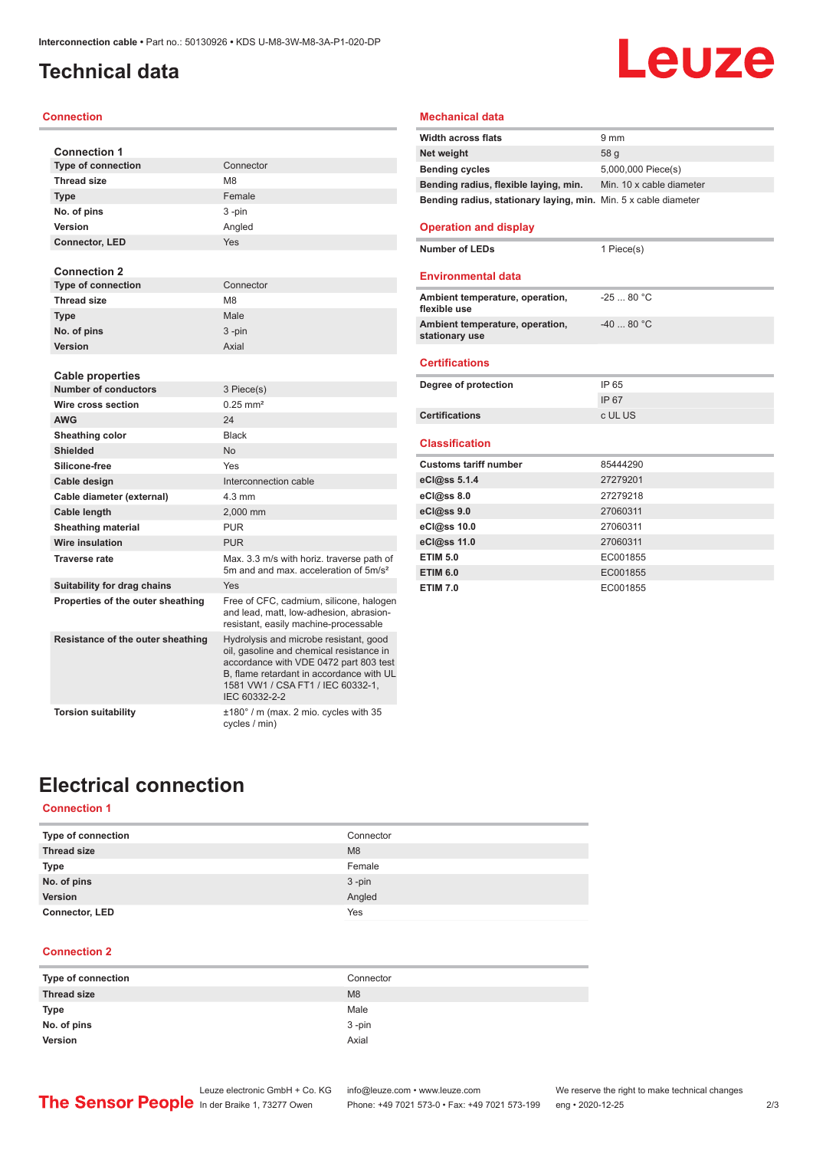### <span id="page-1-0"></span>**Technical data**

#### **Connection**

| <b>Connection 1</b>               |                                                                                                                                                                                                                                |
|-----------------------------------|--------------------------------------------------------------------------------------------------------------------------------------------------------------------------------------------------------------------------------|
| <b>Type of connection</b>         | Connector                                                                                                                                                                                                                      |
| <b>Thread size</b>                | M <sub>8</sub>                                                                                                                                                                                                                 |
| <b>Type</b>                       | Female                                                                                                                                                                                                                         |
| No. of pins                       | 3-pin                                                                                                                                                                                                                          |
| Version                           | Angled                                                                                                                                                                                                                         |
| <b>Connector, LED</b>             | Yes                                                                                                                                                                                                                            |
| <b>Connection 2</b>               |                                                                                                                                                                                                                                |
| <b>Type of connection</b>         | Connector                                                                                                                                                                                                                      |
| <b>Thread size</b>                | M <sub>8</sub>                                                                                                                                                                                                                 |
| <b>Type</b>                       | Male                                                                                                                                                                                                                           |
| No. of pins                       | 3-pin                                                                                                                                                                                                                          |
| Version                           | Axial                                                                                                                                                                                                                          |
|                                   |                                                                                                                                                                                                                                |
| <b>Cable properties</b>           |                                                                                                                                                                                                                                |
| <b>Number of conductors</b>       | 3 Piece(s)                                                                                                                                                                                                                     |
| Wire cross section                | $0.25$ mm <sup>2</sup>                                                                                                                                                                                                         |
| <b>AWG</b>                        | 24                                                                                                                                                                                                                             |
| Sheathing color                   | <b>Black</b>                                                                                                                                                                                                                   |
| Shielded                          | No                                                                                                                                                                                                                             |
| Silicone-free                     | Yes                                                                                                                                                                                                                            |
| Cable design                      | Interconnection cable                                                                                                                                                                                                          |
| Cable diameter (external)         | $4.3 \text{ mm}$                                                                                                                                                                                                               |
| Cable length                      | 2,000 mm                                                                                                                                                                                                                       |
| <b>Sheathing material</b>         | <b>PUR</b>                                                                                                                                                                                                                     |
| <b>Wire insulation</b>            | <b>PUR</b>                                                                                                                                                                                                                     |
| <b>Traverse rate</b>              | Max, 3.3 m/s with horiz, traverse path of<br>5m and and max, acceleration of 5m/s <sup>2</sup>                                                                                                                                 |
| Suitability for drag chains       | Yes                                                                                                                                                                                                                            |
| Properties of the outer sheathing | Free of CFC, cadmium, silicone, halogen<br>and lead, matt, low-adhesion, abrasion-<br>resistant, easily machine-processable                                                                                                    |
| Resistance of the outer sheathing | Hydrolysis and microbe resistant, good<br>oil, gasoline and chemical resistance in<br>accordance with VDE 0472 part 803 test<br>B, flame retardant in accordance with UL<br>1581 VW1 / CSA FT1 / IEC 60332-1,<br>IEC 60332-2-2 |
| <b>Torsion suitability</b>        | $±180^\circ$ / m (max. 2 mio. cycles with 35<br>cycles / min)                                                                                                                                                                  |

### **Mechanical data**

| <b>Width across flats</b>                                       | $9 \text{ mm}$           |
|-----------------------------------------------------------------|--------------------------|
| Net weight                                                      | 58q                      |
| <b>Bending cycles</b>                                           | 5,000,000 Piece(s)       |
| Bending radius, flexible laying, min.                           | Min. 10 x cable diameter |
| Bending radius, stationary laying, min. Min. 5 x cable diameter |                          |

**Leuze** 

#### **Operation and display**

**Number of LEDs** 1 Piece(s)

### **Environmental data**

| Ambient temperature, operation,<br>flexible use   | $-2580 °C$  |
|---------------------------------------------------|-------------|
| Ambient temperature, operation,<br>stationary use | $-40$ 80 °C |
| <b>Certifications</b>                             |             |
|                                                   |             |
| Degree of protection                              | IP 65       |
|                                                   | IP 67       |
| <b>Certifications</b>                             | c UL US     |

| <b>Customs tariff number</b> | 85444290 |
|------------------------------|----------|
| eCl@ss 5.1.4                 | 27279201 |
| eCl@ss 8.0                   | 27279218 |
| eCl@ss 9.0                   | 27060311 |
| eCl@ss 10.0                  | 27060311 |
| eCl@ss 11.0                  | 27060311 |
| <b>ETIM 5.0</b>              | EC001855 |
| <b>ETIM 6.0</b>              | EC001855 |
| <b>ETIM 7.0</b>              | EC001855 |

### **Electrical connection**

### **Connection 1**

| Type of connection    | Connector |
|-----------------------|-----------|
| <b>Thread size</b>    | M8        |
| Type                  | Female    |
| No. of pins           | $3 - pin$ |
| Version               | Angled    |
| <b>Connector, LED</b> | Yes       |

#### **Connection 2**

| Type of connection | Connector |
|--------------------|-----------|
| <b>Thread size</b> | M8        |
| Type               | Male      |
| No. of pins        | $3 - pin$ |
| Version            | Axial     |